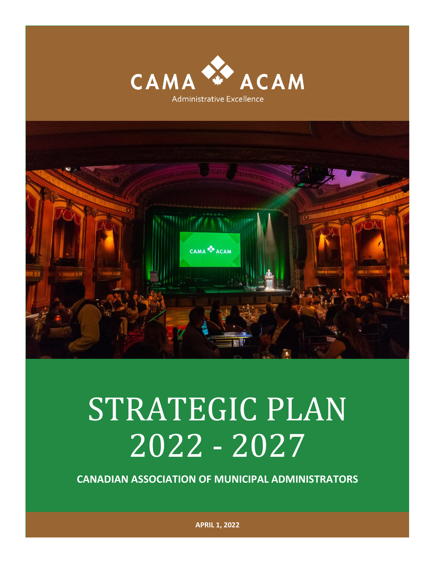



# STRATEGIC PLAN 2022 - 2027

**CANADIAN ASSOCIATION OF MUNICIPAL ADMINISTRATORS**

**APRIL 1, 2022**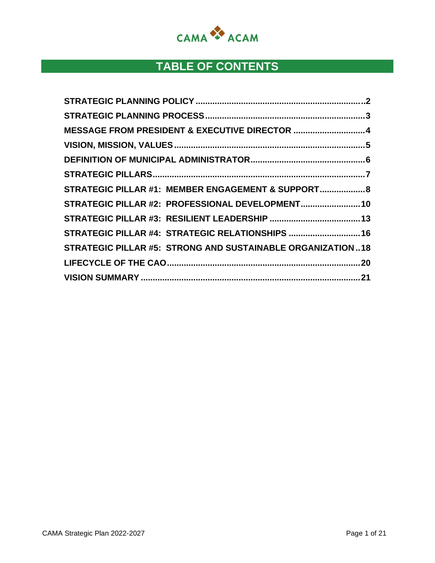

# **TABLE OF CONTENTS**

| MESSAGE FROM PRESIDENT & EXECUTIVE DIRECTOR  4             |  |
|------------------------------------------------------------|--|
|                                                            |  |
|                                                            |  |
|                                                            |  |
| STRATEGIC PILLAR #1: MEMBER ENGAGEMENT & SUPPORT 8         |  |
| STRATEGIC PILLAR #2: PROFESSIONAL DEVELOPMENT 10           |  |
|                                                            |  |
| STRATEGIC PILLAR #4: STRATEGIC RELATIONSHIPS  16           |  |
| STRATEGIC PILLAR #5: STRONG AND SUSTAINABLE ORGANIZATION18 |  |
|                                                            |  |
|                                                            |  |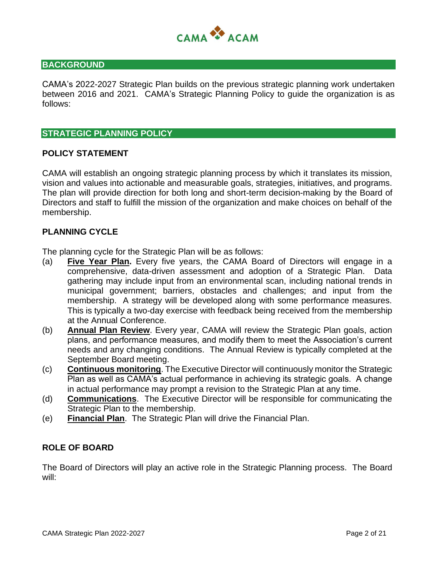

#### **BACKGROUND**

CAMA's 2022-2027 Strategic Plan builds on the previous strategic planning work undertaken between 2016 and 2021. CAMA's Strategic Planning Policy to guide the organization is as follows:

#### **STRATEGIC PLANNING POLICY**

#### **POLICY STATEMENT**

CAMA will establish an ongoing strategic planning process by which it translates its mission, vision and values into actionable and measurable goals, strategies, initiatives, and programs. The plan will provide direction for both long and short-term decision-making by the Board of Directors and staff to fulfill the mission of the organization and make choices on behalf of the membership.

#### **PLANNING CYCLE**

The planning cycle for the Strategic Plan will be as follows:

- (a) **Five Year Plan.** Every five years, the CAMA Board of Directors will engage in a comprehensive, data-driven assessment and adoption of a Strategic Plan. Data gathering may include input from an environmental scan, including national trends in municipal government; barriers, obstacles and challenges; and input from the membership. A strategy will be developed along with some performance measures. This is typically a two-day exercise with feedback being received from the membership at the Annual Conference.
- (b) **Annual Plan Review**. Every year, CAMA will review the Strategic Plan goals, action plans, and performance measures, and modify them to meet the Association's current needs and any changing conditions. The Annual Review is typically completed at the September Board meeting.
- (c) **Continuous monitoring**. The Executive Director will continuously monitor the Strategic Plan as well as CAMA's actual performance in achieving its strategic goals. A change in actual performance may prompt a revision to the Strategic Plan at any time.
- (d) **Communications**. The Executive Director will be responsible for communicating the Strategic Plan to the membership.
- (e) **Financial Plan**. The Strategic Plan will drive the Financial Plan.

#### **ROLE OF BOARD**

The Board of Directors will play an active role in the Strategic Planning process. The Board will: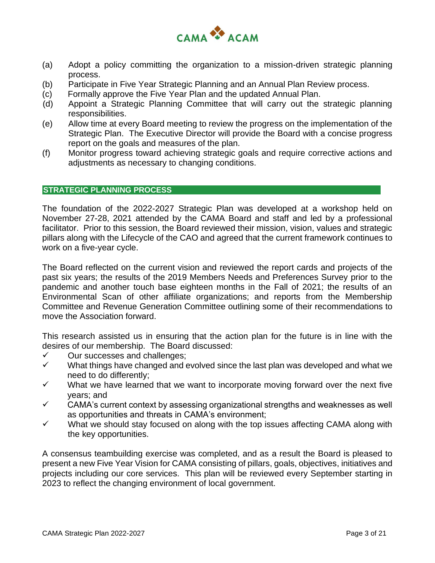

- (a) Adopt a policy committing the organization to a mission-driven strategic planning process.
- (b) Participate in Five Year Strategic Planning and an Annual Plan Review process.
- (c) Formally approve the Five Year Plan and the updated Annual Plan.
- (d) Appoint a Strategic Planning Committee that will carry out the strategic planning responsibilities.
- (e) Allow time at every Board meeting to review the progress on the implementation of the Strategic Plan. The Executive Director will provide the Board with a concise progress report on the goals and measures of the plan.
- (f) Monitor progress toward achieving strategic goals and require corrective actions and adjustments as necessary to changing conditions.

#### **STRATEGIC PLANNING PROCESS**

The foundation of the 2022-2027 Strategic Plan was developed at a workshop held on November 27-28, 2021 attended by the CAMA Board and staff and led by a professional facilitator. Prior to this session, the Board reviewed their mission, vision, values and strategic pillars along with the Lifecycle of the CAO and agreed that the current framework continues to work on a five-year cycle.

The Board reflected on the current vision and reviewed the report cards and projects of the past six years; the results of the 2019 Members Needs and Preferences Survey prior to the pandemic and another touch base eighteen months in the Fall of 2021; the results of an Environmental Scan of other affiliate organizations; and reports from the Membership Committee and Revenue Generation Committee outlining some of their recommendations to move the Association forward.

This research assisted us in ensuring that the action plan for the future is in line with the desires of our membership. The Board discussed:

- $\checkmark$  Our successes and challenges;
- $\checkmark$  What things have changed and evolved since the last plan was developed and what we need to do differently;
- $\checkmark$  What we have learned that we want to incorporate moving forward over the next five years; and
- $\checkmark$  CAMA's current context by assessing organizational strengths and weaknesses as well as opportunities and threats in CAMA's environment;
- $\checkmark$  What we should stay focused on along with the top issues affecting CAMA along with the key opportunities.

A consensus teambuilding exercise was completed, and as a result the Board is pleased to present a new Five Year Vision for CAMA consisting of pillars, goals, objectives, initiatives and projects including our core services. This plan will be reviewed every September starting in 2023 to reflect the changing environment of local government.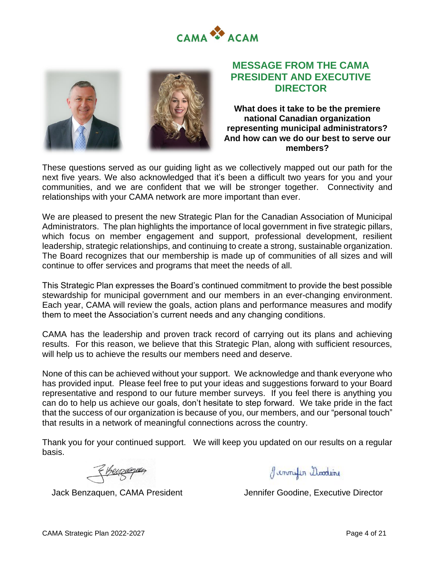



# **MESSAGE FROM THE CAMA PRESIDENT AND EXECUTIVE DIRECTOR**

**What does it take to be the premiere national Canadian organization representing municipal administrators? And how can we do our best to serve our members?**

These questions served as our guiding light as we collectively mapped out our path for the next five years. We also acknowledged that it's been a difficult two years for you and your communities, and we are confident that we will be stronger together. Connectivity and relationships with your CAMA network are more important than ever.

We are pleased to present the new Strategic Plan for the Canadian Association of Municipal Administrators. The plan highlights the importance of local government in five strategic pillars, which focus on member engagement and support, professional development, resilient leadership, strategic relationships, and continuing to create a strong, sustainable organization. The Board recognizes that our membership is made up of communities of all sizes and will continue to offer services and programs that meet the needs of all.

This Strategic Plan expresses the Board's continued commitment to provide the best possible stewardship for municipal government and our members in an ever-changing environment. Each year, CAMA will review the goals, action plans and performance measures and modify them to meet the Association's current needs and any changing conditions.

CAMA has the leadership and proven track record of carrying out its plans and achieving results. For this reason, we believe that this Strategic Plan, along with sufficient resources, will help us to achieve the results our members need and deserve.

None of this can be achieved without your support. We acknowledge and thank everyone who has provided input. Please feel free to put your ideas and suggestions forward to your Board representative and respond to our future member surveys. If you feel there is anything you can do to help us achieve our goals, don't hesitate to step forward. We take pride in the fact that the success of our organization is because of you, our members, and our "personal touch" that results in a network of meaningful connections across the country.

Thank you for your continued support. We will keep you updated on our results on a regular basis.

<u>Henzagum</u>

Jemmyler Modeine

Jack Benzaquen, CAMA President **Jennifer Goodine, Executive Director**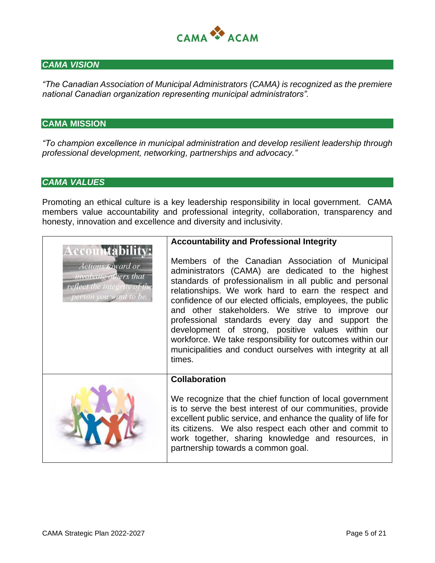

#### *CAMA VISION*

*"The Canadian Association of Municipal Administrators (CAMA) is recognized as the premiere national Canadian organization representing municipal administrators".*

#### **CAMA MISSION**

*"To champion excellence in municipal administration and develop resilient leadership through professional development, networking, partnerships and advocacy."*

#### *CAMA VALUES*

Promoting an ethical culture is a key leadership responsibility in local government. CAMA members value accountability and professional integrity, collaboration, transparency and honesty, innovation and excellence and diversity and inclusivity.

|                                                                                                                        | <b>Accountability and Professional Integrity</b>                                                                                                                                                                                                                                                                                                                                                                                                                                                                                                                                         |
|------------------------------------------------------------------------------------------------------------------------|------------------------------------------------------------------------------------------------------------------------------------------------------------------------------------------------------------------------------------------------------------------------------------------------------------------------------------------------------------------------------------------------------------------------------------------------------------------------------------------------------------------------------------------------------------------------------------------|
| Accountability<br>Actions toward or<br>involving others that<br>reflect the integrity of the<br>person you want to be. | Members of the Canadian Association of Municipal<br>administrators (CAMA) are dedicated to the highest<br>standards of professionalism in all public and personal<br>relationships. We work hard to earn the respect and<br>confidence of our elected officials, employees, the public<br>and other stakeholders. We strive to improve our<br>professional standards every day and support the<br>development of strong, positive values within our<br>workforce. We take responsibility for outcomes within our<br>municipalities and conduct ourselves with integrity at all<br>times. |
|                                                                                                                        | <b>Collaboration</b>                                                                                                                                                                                                                                                                                                                                                                                                                                                                                                                                                                     |
|                                                                                                                        | We recognize that the chief function of local government<br>is to serve the best interest of our communities, provide<br>excellent public service, and enhance the quality of life for<br>its citizens. We also respect each other and commit to<br>work together, sharing knowledge and resources, in<br>partnership towards a common goal.                                                                                                                                                                                                                                             |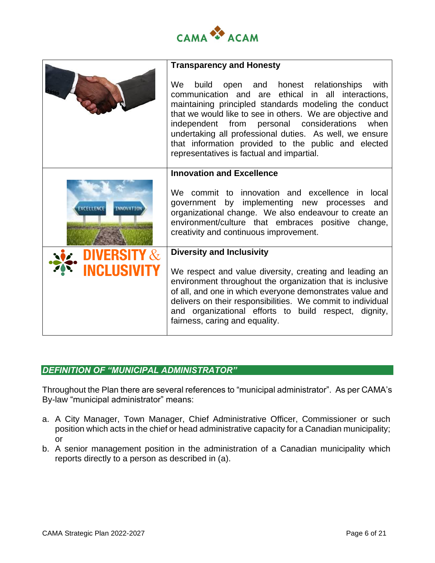

|                                | <b>Transparency and Honesty</b>                                                                                                                                                                                                                                                                                                                                                                                                                  |  |  |
|--------------------------------|--------------------------------------------------------------------------------------------------------------------------------------------------------------------------------------------------------------------------------------------------------------------------------------------------------------------------------------------------------------------------------------------------------------------------------------------------|--|--|
|                                | We<br>build open and honest relationships with<br>communication and are ethical in all interactions,<br>maintaining principled standards modeling the conduct<br>that we would like to see in others. We are objective and<br>independent from<br>personal considerations<br>when<br>undertaking all professional duties. As well, we ensure<br>that information provided to the public and elected<br>representatives is factual and impartial. |  |  |
|                                | <b>Innovation and Excellence</b>                                                                                                                                                                                                                                                                                                                                                                                                                 |  |  |
| EXCELLENCE<br><b>INNOVATIO</b> | We commit to innovation and excellence in local<br>government by implementing new processes and<br>organizational change. We also endeavour to create an<br>environment/culture that embraces positive change,<br>creativity and continuous improvement.                                                                                                                                                                                         |  |  |
| <b>DIVERSITY &amp;</b>         | <b>Diversity and Inclusivity</b>                                                                                                                                                                                                                                                                                                                                                                                                                 |  |  |
| <b>INCLUSIVITY</b>             | We respect and value diversity, creating and leading an<br>environment throughout the organization that is inclusive<br>of all, and one in which everyone demonstrates value and<br>delivers on their responsibilities. We commit to individual<br>and organizational efforts to build respect, dignity,<br>fairness, caring and equality.                                                                                                       |  |  |

# *DEFINITION OF "MUNICIPAL ADMINISTRATOR"*

Throughout the Plan there are several references to "municipal administrator". As per CAMA's By-law "municipal administrator" means:

- a. A City Manager, Town Manager, Chief Administrative Officer, Commissioner or such position which acts in the chief or head administrative capacity for a Canadian municipality; or
- b. A senior management position in the administration of a Canadian municipality which reports directly to a person as described in (a).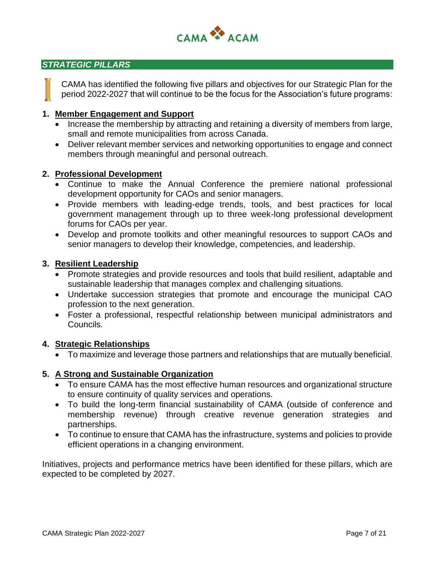

#### *STRATEGIC PILLARS*

CAMA has identified the following five pillars and objectives for our Strategic Plan for the period 2022-2027 that will continue to be the focus for the Association's future programs:

#### **1. Member Engagement and Support**

- Increase the membership by attracting and retaining a diversity of members from large, small and remote municipalities from across Canada.
- Deliver relevant member services and networking opportunities to engage and connect members through meaningful and personal outreach.

#### **2. Professional Development**

- Continue to make the Annual Conference the premiere national professional development opportunity for CAOs and senior managers.
- Provide members with leading-edge trends, tools, and best practices for local government management through up to three week-long professional development forums for CAOs per year.
- Develop and promote toolkits and other meaningful resources to support CAOs and senior managers to develop their knowledge, competencies, and leadership.

#### **3. Resilient Leadership**

- Promote strategies and provide resources and tools that build resilient, adaptable and sustainable leadership that manages complex and challenging situations.
- Undertake succession strategies that promote and encourage the municipal CAO profession to the next generation.
- Foster a professional, respectful relationship between municipal administrators and Councils.

#### **4. Strategic Relationships**

• To maximize and leverage those partners and relationships that are mutually beneficial.

#### **5. A Strong and Sustainable Organization**

- To ensure CAMA has the most effective human resources and organizational structure to ensure continuity of quality services and operations.
- To build the long-term financial sustainability of CAMA (outside of conference and membership revenue) through creative revenue generation strategies and partnerships.
- To continue to ensure that CAMA has the infrastructure, systems and policies to provide efficient operations in a changing environment.

Initiatives, projects and performance metrics have been identified for these pillars, which are expected to be completed by 2027.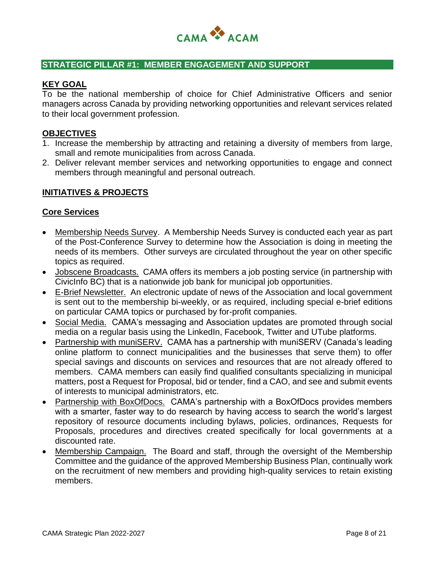

#### **STRATEGIC PILLAR #1: MEMBER ENGAGEMENT AND SUPPORT**

#### **KEY GOAL**

To be the national membership of choice for Chief Administrative Officers and senior managers across Canada by providing networking opportunities and relevant services related to their local government profession.

#### **OBJECTIVES**

- 1. Increase the membership by attracting and retaining a diversity of members from large, small and remote municipalities from across Canada.
- 2. Deliver relevant member services and networking opportunities to engage and connect members through meaningful and personal outreach.

#### **INITIATIVES & PROJECTS**

#### **Core Services**

- Membership Needs Survey. A Membership Needs Survey is conducted each year as part of the Post-Conference Survey to determine how the Association is doing in meeting the needs of its members. Other surveys are circulated throughout the year on other specific topics as required.
- Jobscene Broadcasts. CAMA offers its members a job posting service (in partnership with CivicInfo BC) that is a nationwide job bank for municipal job opportunities.
- E-Brief Newsletter. An electronic update of news of the Association and local government is sent out to the membership bi-weekly, or as required, including special e-brief editions on particular CAMA topics or purchased by for-profit companies.
- Social Media. CAMA's messaging and Association updates are promoted through social media on a regular basis using the LinkedIn, Facebook, Twitter and UTube platforms.
- Partnership with muniSERV. CAMA has a partnership with muniSERV (Canada's leading online platform to connect municipalities and the businesses that serve them) to offer special savings and discounts on services and resources that are not already offered to members. CAMA members can easily find qualified consultants specializing in municipal matters, post a Request for Proposal, bid or tender, find a CAO, and see and submit events of interests to municipal administrators, etc.
- Partnership with BoxOfDocs. CAMA's partnership with a BoxOfDocs provides members with a smarter, faster way to do research by having access to search the world's largest repository of resource documents including bylaws, policies, ordinances, Requests for Proposals, procedures and directives created specifically for local governments at a discounted rate.
- Membership Campaign. The Board and staff, through the oversight of the Membership Committee and the guidance of the approved Membership Business Plan, continually work on the recruitment of new members and providing high-quality services to retain existing members.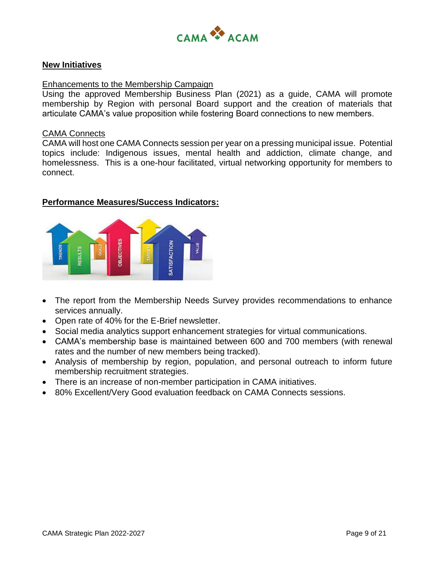

#### **New Initiatives**

#### Enhancements to the Membership Campaign

Using the approved Membership Business Plan (2021) as a guide, CAMA will promote membership by Region with personal Board support and the creation of materials that articulate CAMA's value proposition while fostering Board connections to new members.

#### CAMA Connects

CAMA will host one CAMA Connects session per year on a pressing municipal issue. Potential topics include: Indigenous issues, mental health and addiction, climate change, and homelessness. This is a one-hour facilitated, virtual networking opportunity for members to connect.



- The report from the Membership Needs Survey provides recommendations to enhance services annually.
- Open rate of 40% for the E-Brief newsletter.
- Social media analytics support enhancement strategies for virtual communications.
- CAMA's membership base is maintained between 600 and 700 members (with renewal rates and the number of new members being tracked).
- Analysis of membership by region, population, and personal outreach to inform future membership recruitment strategies.
- There is an increase of non-member participation in CAMA initiatives.
- 80% Excellent/Very Good evaluation feedback on CAMA Connects sessions.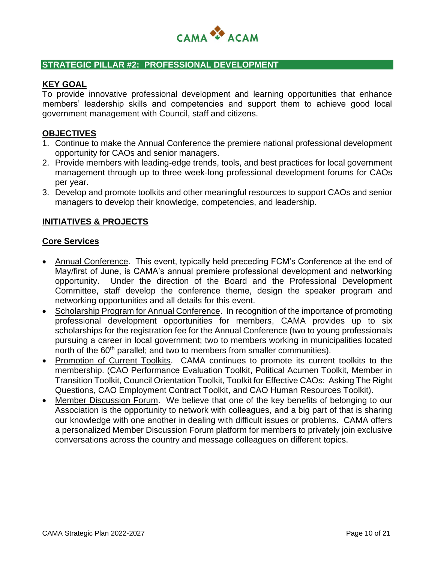

#### **STRATEGIC PILLAR #2: PROFESSIONAL DEVELOPMENT**

#### **KEY GOAL**

To provide innovative professional development and learning opportunities that enhance members' leadership skills and competencies and support them to achieve good local government management with Council, staff and citizens.

#### **OBJECTIVES**

- 1. Continue to make the Annual Conference the premiere national professional development opportunity for CAOs and senior managers.
- 2. Provide members with leading-edge trends, tools, and best practices for local government management through up to three week-long professional development forums for CAOs per year.
- 3. Develop and promote toolkits and other meaningful resources to support CAOs and senior managers to develop their knowledge, competencies, and leadership.

#### **INITIATIVES & PROJECTS**

#### **Core Services**

- Annual Conference. This event, typically held preceding FCM's Conference at the end of May/first of June, is CAMA's annual premiere professional development and networking opportunity. Under the direction of the Board and the Professional Development Committee, staff develop the conference theme, design the speaker program and networking opportunities and all details for this event.
- Scholarship Program for Annual Conference. In recognition of the importance of promoting professional development opportunities for members, CAMA provides up to six scholarships for the registration fee for the Annual Conference (two to young professionals pursuing a career in local government; two to members working in municipalities located north of the 60<sup>th</sup> parallel; and two to members from smaller communities).
- Promotion of Current Toolkits. CAMA continues to promote its current toolkits to the membership. (CAO Performance Evaluation Toolkit, Political Acumen Toolkit, Member in Transition Toolkit, Council Orientation Toolkit, Toolkit for Effective CAOs: Asking The Right Questions, CAO Employment Contract Toolkit, and CAO Human Resources Toolkit).
- Member Discussion Forum. We believe that one of the key benefits of belonging to our Association is the opportunity to network with colleagues, and a big part of that is sharing our knowledge with one another in dealing with difficult issues or problems. CAMA offers a personalized Member Discussion Forum platform for members to privately join exclusive conversations across the country and message colleagues on different topics.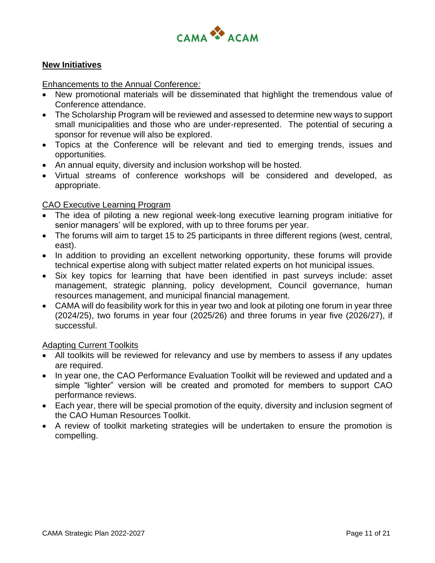

#### **New Initiatives**

Enhancements to the Annual Conference*:* 

- New promotional materials will be disseminated that highlight the tremendous value of Conference attendance.
- The Scholarship Program will be reviewed and assessed to determine new ways to support small municipalities and those who are under-represented. The potential of securing a sponsor for revenue will also be explored.
- Topics at the Conference will be relevant and tied to emerging trends, issues and opportunities.
- An annual equity, diversity and inclusion workshop will be hosted.
- Virtual streams of conference workshops will be considered and developed, as appropriate.

#### CAO Executive Learning Program

- The idea of piloting a new regional week-long executive learning program initiative for senior managers' will be explored, with up to three forums per year.
- The forums will aim to target 15 to 25 participants in three different regions (west, central, east).
- In addition to providing an excellent networking opportunity, these forums will provide technical expertise along with subject matter related experts on hot municipal issues.
- Six key topics for learning that have been identified in past surveys include: asset management, strategic planning, policy development, Council governance, human resources management, and municipal financial management.
- CAMA will do feasibility work for this in year two and look at piloting one forum in year three (2024/25), two forums in year four (2025/26) and three forums in year five (2026/27), if successful.

#### Adapting Current Toolkits

- All toolkits will be reviewed for relevancy and use by members to assess if any updates are required.
- In year one, the CAO Performance Evaluation Toolkit will be reviewed and updated and a simple "lighter" version will be created and promoted for members to support CAO performance reviews.
- Each year, there will be special promotion of the equity, diversity and inclusion segment of the CAO Human Resources Toolkit.
- A review of toolkit marketing strategies will be undertaken to ensure the promotion is compelling.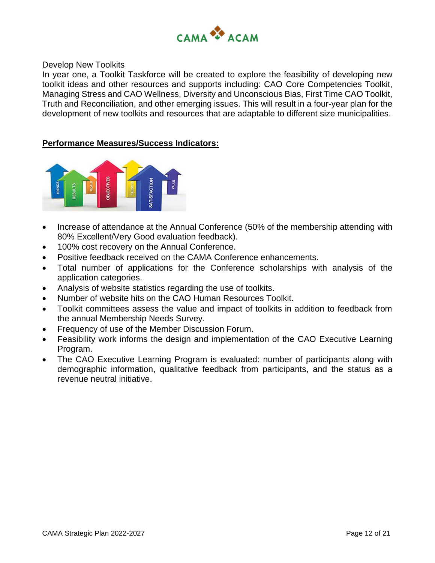

#### Develop New Toolkits

In year one, a Toolkit Taskforce will be created to explore the feasibility of developing new toolkit ideas and other resources and supports including: CAO Core Competencies Toolkit, Managing Stress and CAO Wellness, Diversity and Unconscious Bias, First Time CAO Toolkit, Truth and Reconciliation, and other emerging issues. This will result in a four-year plan for the development of new toolkits and resources that are adaptable to different size municipalities.



- Increase of attendance at the Annual Conference (50% of the membership attending with 80% Excellent/Very Good evaluation feedback).
- 100% cost recovery on the Annual Conference.
- Positive feedback received on the CAMA Conference enhancements.
- Total number of applications for the Conference scholarships with analysis of the application categories.
- Analysis of website statistics regarding the use of toolkits.
- Number of website hits on the CAO Human Resources Toolkit.
- Toolkit committees assess the value and impact of toolkits in addition to feedback from the annual Membership Needs Survey.
- Frequency of use of the Member Discussion Forum.
- Feasibility work informs the design and implementation of the CAO Executive Learning Program.
- The CAO Executive Learning Program is evaluated: number of participants along with demographic information, qualitative feedback from participants, and the status as a revenue neutral initiative.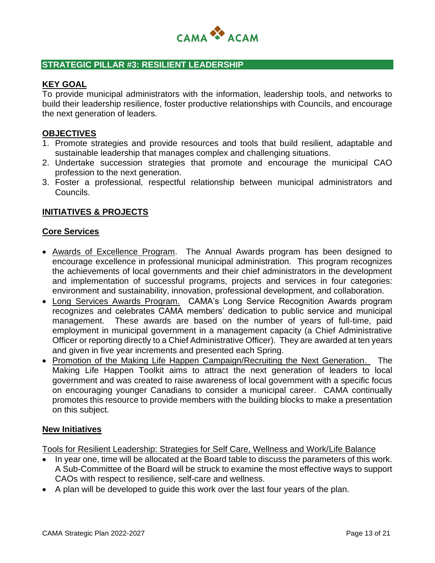

#### **STRATEGIC PILLAR #3: RESILIENT LEADERSHIP**

#### **KEY GOAL**

To provide municipal administrators with the information, leadership tools, and networks to build their leadership resilience, foster productive relationships with Councils, and encourage the next generation of leaders.

#### **OBJECTIVES**

- 1. Promote strategies and provide resources and tools that build resilient, adaptable and sustainable leadership that manages complex and challenging situations.
- 2. Undertake succession strategies that promote and encourage the municipal CAO profession to the next generation.
- 3. Foster a professional, respectful relationship between municipal administrators and Councils.

#### **INITIATIVES & PROJECTS**

#### **Core Services**

- Awards of Excellence Program. The Annual Awards program has been designed to encourage excellence in professional municipal administration. This program recognizes the achievements of local governments and their chief administrators in the development and implementation of successful programs, projects and services in four categories: environment and sustainability, innovation, professional development, and collaboration.
- Long Services Awards Program. CAMA's Long Service Recognition Awards program recognizes and celebrates CAMA members' dedication to public service and municipal management. These awards are based on the number of years of full-time, paid employment in municipal government in a management capacity (a Chief Administrative Officer or reporting directly to a Chief Administrative Officer). They are awarded at ten years and given in five year increments and presented each Spring.
- Promotion of the Making Life Happen Campaign/Recruiting the Next Generation. The Making Life Happen Toolkit aims to attract the next generation of leaders to local government and was created to raise awareness of local government with a specific focus on encouraging younger Canadians to consider a municipal career. CAMA continually promotes this resource to provide members with the building blocks to make a presentation on this subject.

#### **New Initiatives**

Tools for Resilient Leadership: Strategies for Self Care, Wellness and Work/Life Balance

- In year one, time will be allocated at the Board table to discuss the parameters of this work. A Sub-Committee of the Board will be struck to examine the most effective ways to support CAOs with respect to resilience, self-care and wellness.
- A plan will be developed to guide this work over the last four years of the plan.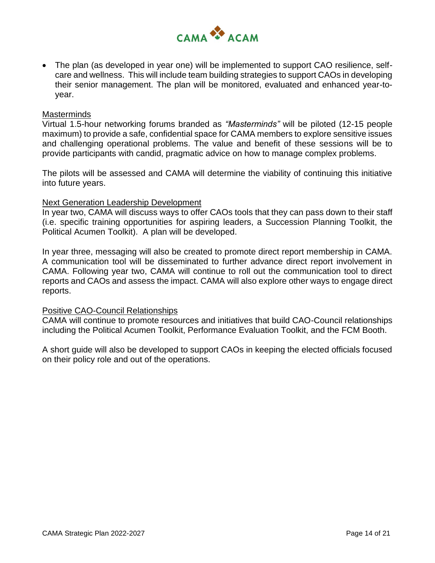

• The plan (as developed in year one) will be implemented to support CAO resilience, selfcare and wellness. This will include team building strategies to support CAOs in developing their senior management. The plan will be monitored, evaluated and enhanced year-toyear.

#### **Masterminds**

Virtual 1.5-hour networking forums branded as *"Masterminds"* will be piloted (12-15 people maximum) to provide a safe, confidential space for CAMA members to explore sensitive issues and challenging operational problems. The value and benefit of these sessions will be to provide participants with candid, pragmatic advice on how to manage complex problems.

The pilots will be assessed and CAMA will determine the viability of continuing this initiative into future years.

#### Next Generation Leadership Development

In year two, CAMA will discuss ways to offer CAOs tools that they can pass down to their staff (i.e. specific training opportunities for aspiring leaders, a Succession Planning Toolkit, the Political Acumen Toolkit). A plan will be developed.

In year three, messaging will also be created to promote direct report membership in CAMA. A communication tool will be disseminated to further advance direct report involvement in CAMA. Following year two, CAMA will continue to roll out the communication tool to direct reports and CAOs and assess the impact. CAMA will also explore other ways to engage direct reports.

#### Positive CAO-Council Relationships

CAMA will continue to promote resources and initiatives that build CAO-Council relationships including the Political Acumen Toolkit, Performance Evaluation Toolkit, and the FCM Booth.

A short guide will also be developed to support CAOs in keeping the elected officials focused on their policy role and out of the operations.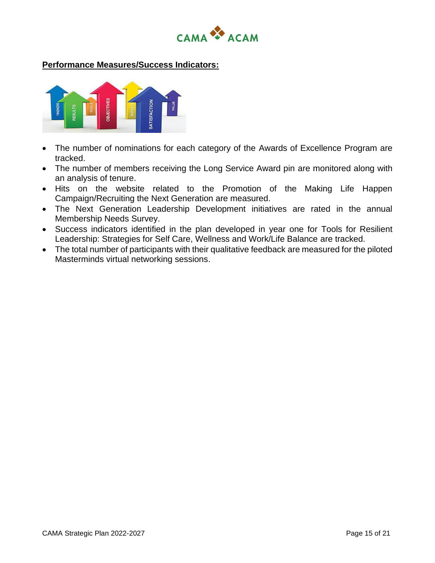



- The number of nominations for each category of the Awards of Excellence Program are tracked.
- The number of members receiving the Long Service Award pin are monitored along with an analysis of tenure.
- Hits on the website related to the Promotion of the Making Life Happen Campaign/Recruiting the Next Generation are measured.
- The Next Generation Leadership Development initiatives are rated in the annual Membership Needs Survey.
- Success indicators identified in the plan developed in year one for Tools for Resilient Leadership: Strategies for Self Care, Wellness and Work/Life Balance are tracked.
- The total number of participants with their qualitative feedback are measured for the piloted Masterminds virtual networking sessions.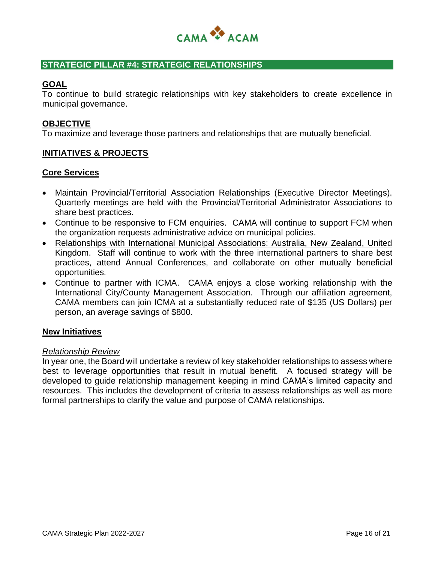

#### **STRATEGIC PILLAR #4: STRATEGIC RELATIONSHIPS**

#### **GOAL**

To continue to build strategic relationships with key stakeholders to create excellence in municipal governance.

#### **OBJECTIVE**

To maximize and leverage those partners and relationships that are mutually beneficial.

#### **INITIATIVES & PROJECTS**

#### **Core Services**

- Maintain Provincial/Territorial Association Relationships (Executive Director Meetings). Quarterly meetings are held with the Provincial/Territorial Administrator Associations to share best practices.
- Continue to be responsive to FCM enquiries. CAMA will continue to support FCM when the organization requests administrative advice on municipal policies.
- Relationships with International Municipal Associations: Australia, New Zealand, United Kingdom. Staff will continue to work with the three international partners to share best practices, attend Annual Conferences, and collaborate on other mutually beneficial opportunities.
- Continue to partner with ICMA. CAMA enjoys a close working relationship with the International City/County Management Association. Through our affiliation agreement, CAMA members can join ICMA at a substantially reduced rate of \$135 (US Dollars) per person, an average savings of \$800.

#### **New Initiatives**

#### *Relationship Review*

In year one, the Board will undertake a review of key stakeholder relationships to assess where best to leverage opportunities that result in mutual benefit. A focused strategy will be developed to guide relationship management keeping in mind CAMA's limited capacity and resources. This includes the development of criteria to assess relationships as well as more formal partnerships to clarify the value and purpose of CAMA relationships.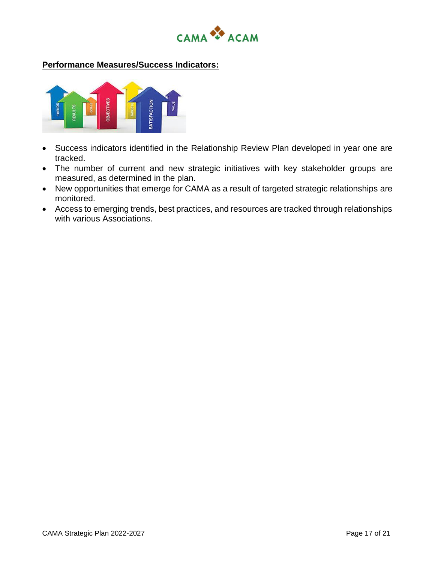



- Success indicators identified in the Relationship Review Plan developed in year one are tracked.
- The number of current and new strategic initiatives with key stakeholder groups are measured, as determined in the plan.
- New opportunities that emerge for CAMA as a result of targeted strategic relationships are monitored.
- Access to emerging trends, best practices, and resources are tracked through relationships with various Associations.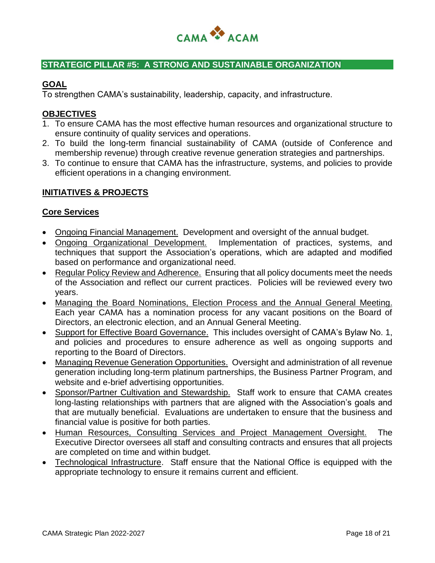

# **STRATEGIC PILLAR #5: A STRONG AND SUSTAINABLE ORGANIZATION**

## **GOAL**

To strengthen CAMA's sustainability, leadership, capacity, and infrastructure.

# **OBJECTIVES**

- 1. To ensure CAMA has the most effective human resources and organizational structure to ensure continuity of quality services and operations.
- 2. To build the long-term financial sustainability of CAMA (outside of Conference and membership revenue) through creative revenue generation strategies and partnerships.
- 3. To continue to ensure that CAMA has the infrastructure, systems, and policies to provide efficient operations in a changing environment.

# **INITIATIVES & PROJECTS**

#### **Core Services**

- Ongoing Financial Management. Development and oversight of the annual budget.
- Ongoing Organizational Development. Implementation of practices, systems, and techniques that support the Association's operations, which are adapted and modified based on performance and organizational need.
- Regular Policy Review and Adherence. Ensuring that all policy documents meet the needs of the Association and reflect our current practices. Policies will be reviewed every two years.
- Managing the Board Nominations, Election Process and the Annual General Meeting. Each year CAMA has a nomination process for any vacant positions on the Board of Directors, an electronic election, and an Annual General Meeting.
- Support for Effective Board Governance. This includes oversight of CAMA's Bylaw No. 1, and policies and procedures to ensure adherence as well as ongoing supports and reporting to the Board of Directors.
- Managing Revenue Generation Opportunities. Oversight and administration of all revenue generation including long-term platinum partnerships, the Business Partner Program, and website and e-brief advertising opportunities.
- Sponsor/Partner Cultivation and Stewardship. Staff work to ensure that CAMA creates long-lasting relationships with partners that are aligned with the Association's goals and that are mutually beneficial. Evaluations are undertaken to ensure that the business and financial value is positive for both parties.
- Human Resources, Consulting Services and Project Management Oversight. The Executive Director oversees all staff and consulting contracts and ensures that all projects are completed on time and within budget.
- Technological Infrastructure. Staff ensure that the National Office is equipped with the appropriate technology to ensure it remains current and efficient.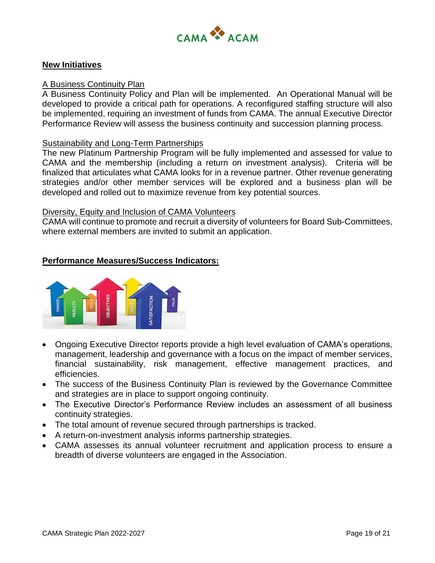

#### **New Initiatives**

#### A Business Continuity Plan

A Business Continuity Policy and Plan will be implemented. An Operational Manual will be developed to provide a critical path for operations. A reconfigured staffing structure will also be implemented, requiring an investment of funds from CAMA. The annual Executive Director Performance Review will assess the business continuity and succession planning process.

#### Sustainability and Long-Term Partnerships

The new Platinum Partnership Program will be fully implemented and assessed for value to CAMA and the membership (including a return on investment analysis). Criteria will be finalized that articulates what CAMA looks for in a revenue partner. Other revenue generating strategies and/or other member services will be explored and a business plan will be developed and rolled out to maximize revenue from key potential sources.

#### Diversity, Equity and Inclusion of CAMA Volunteers

CAMA will continue to promote and recruit a diversity of volunteers for Board Sub-Committees, where external members are invited to submit an application.



- Ongoing Executive Director reports provide a high level evaluation of CAMA's operations, management, leadership and governance with a focus on the impact of member services, financial sustainability, risk management, effective management practices, and efficiencies.
- The success of the Business Continuity Plan is reviewed by the Governance Committee and strategies are in place to support ongoing continuity.
- The Executive Director's Performance Review includes an assessment of all business continuity strategies.
- The total amount of revenue secured through partnerships is tracked.
- A return-on-investment analysis informs partnership strategies.
- CAMA assesses its annual volunteer recruitment and application process to ensure a breadth of diverse volunteers are engaged in the Association.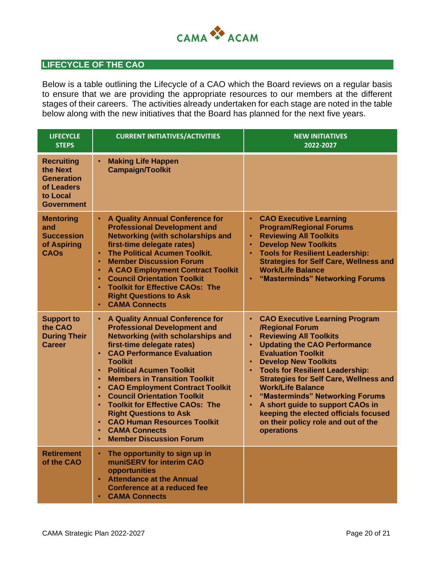

# **LIFECYCLE OF THE CAO**

Below is a table outlining the Lifecycle of a CAO which the Board reviews on a regular basis to ensure that we are providing the appropriate resources to our members at the different stages of their careers. The activities already undertaken for each stage are noted in the table below along with the new initiatives that the Board has planned for the next five years.

| <b>LIFECYCLE</b><br><b>STEPS</b>                                                                  | <b>CURRENT INITIATIVES/ACTIVITIES</b>                                                                                                                                                                                                                                                                                                                                                                                                                                                                                                                                                                          | <b>NEW INITIATIVES</b><br>2022-2027                                                                                                                                                                                                                                                                                                                                                                                                                                                                                                          |
|---------------------------------------------------------------------------------------------------|----------------------------------------------------------------------------------------------------------------------------------------------------------------------------------------------------------------------------------------------------------------------------------------------------------------------------------------------------------------------------------------------------------------------------------------------------------------------------------------------------------------------------------------------------------------------------------------------------------------|----------------------------------------------------------------------------------------------------------------------------------------------------------------------------------------------------------------------------------------------------------------------------------------------------------------------------------------------------------------------------------------------------------------------------------------------------------------------------------------------------------------------------------------------|
| <b>Recruiting</b><br>the Next<br><b>Generation</b><br>of Leaders<br>to Local<br><b>Government</b> | <b>Making Life Happen</b><br><b>Campaign/Toolkit</b>                                                                                                                                                                                                                                                                                                                                                                                                                                                                                                                                                           |                                                                                                                                                                                                                                                                                                                                                                                                                                                                                                                                              |
| <b>Mentoring</b><br>and<br><b>Succession</b><br>of Aspiring<br><b>CAOs</b>                        | <b>A Quality Annual Conference for</b><br><b>Professional Development and</b><br><b>Networking (with scholarships and</b><br>first-time delegate rates)<br><b>The Political Acumen Toolkit.</b><br>$\bullet$<br><b>Member Discussion Forum</b><br>$\bullet$<br><b>A CAO Employment Contract Toolkit</b><br>$\bullet$<br><b>Council Orientation Toolkit</b><br>$\bullet$<br><b>Toolkit for Effective CAOs: The</b><br>$\bullet$<br><b>Right Questions to Ask</b><br><b>CAMA Connects</b><br>$\bullet$                                                                                                           | <b>CAO Executive Learning</b><br>$\bullet$<br><b>Program/Regional Forums</b><br><b>Reviewing All Toolkits</b><br><b>Develop New Toolkits</b><br><b>Tools for Resilient Leadership:</b><br><b>Strategies for Self Care, Wellness and</b><br><b>Work/Life Balance</b><br>"Masterminds" Networking Forums                                                                                                                                                                                                                                       |
| <b>Support to</b><br>the CAO<br><b>During Their</b><br>Career                                     | A Quality Annual Conference for<br>$\bullet$<br><b>Professional Development and</b><br><b>Networking (with scholarships and</b><br>first-time delegate rates)<br><b>CAO Performance Evaluation</b><br>$\bullet$<br><b>Toolkit</b><br><b>Political Acumen Toolkit</b><br><b>Members in Transition Toolkit</b><br><b>CAO Employment Contract Toolkit</b><br>$\bullet$<br><b>Council Orientation Toolkit</b><br><b>Toolkit for Effective CAOs: The</b><br>$\bullet$<br><b>Right Questions to Ask</b><br><b>CAO Human Resources Toolkit</b><br><b>CAMA Connects</b><br><b>Member Discussion Forum</b><br>$\bullet$ | <b>CAO Executive Learning Program</b><br>$\bullet$<br>/Regional Forum<br><b>Reviewing All Toolkits</b><br>$\bullet$<br><b>Updating the CAO Performance</b><br>$\bullet$<br><b>Evaluation Toolkit</b><br><b>Develop New Toolkits</b><br><b>Tools for Resilient Leadership:</b><br><b>Strategies for Self Care, Wellness and</b><br><b>Work/Life Balance</b><br>"Masterminds" Networking Forums<br>A short guide to support CAOs in<br>$\bullet$<br>keeping the elected officials focused<br>on their policy role and out of the<br>operations |
| <b>Retirement</b><br>of the CAO                                                                   | The opportunity to sign up in<br>muniSERV for interim CAO<br>opportunities<br><b>Attendance at the Annual</b><br>$\bullet$<br>Conference at a reduced fee<br><b>CAMA Connects</b>                                                                                                                                                                                                                                                                                                                                                                                                                              |                                                                                                                                                                                                                                                                                                                                                                                                                                                                                                                                              |